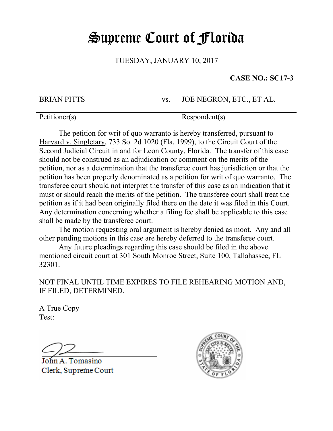## Supreme Court of Florida

TUESDAY, JANUARY 10, 2017

## **CASE NO.: SC17-3**

BRIAN PITTS vs. JOE NEGRON, ETC., ET AL.

Petitioner(s) Respondent(s)

The petition for writ of quo warranto is hereby transferred, pursuant to Harvard v. Singletary, 733 So. 2d 1020 (Fla. 1999), to the Circuit Court of the Second Judicial Circuit in and for Leon County, Florida. The transfer of this case should not be construed as an adjudication or comment on the merits of the petition, nor as a determination that the transferee court has jurisdiction or that the petition has been properly denominated as a petition for writ of quo warranto. The transferee court should not interpret the transfer of this case as an indication that it must or should reach the merits of the petition. The transferee court shall treat the petition as if it had been originally filed there on the date it was filed in this Court. Any determination concerning whether a filing fee shall be applicable to this case shall be made by the transferee court.

The motion requesting oral argument is hereby denied as moot. Any and all other pending motions in this case are hereby deferred to the transferee court.

Any future pleadings regarding this case should be filed in the above mentioned circuit court at 301 South Monroe Street, Suite 100, Tallahassee, FL 32301.

NOT FINAL UNTIL TIME EXPIRES TO FILE REHEARING MOTION AND, IF FILED, DETERMINED.

A True Copy Test:

John A. Tomasino Clerk, Supreme Court